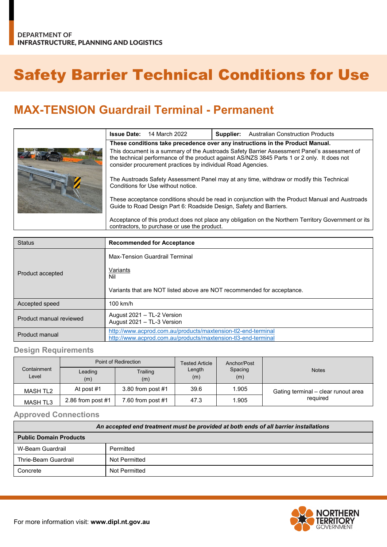## Safety Barrier Technical Conditions for Use

## **MAX-TENSION Guardrail Terminal - Permanent**

| <b>Issue Date:</b>                                                                                                                                                                                                                                        | 14 March 2022 | Supplier: | <b>Australian Construction Products</b> |  |
|-----------------------------------------------------------------------------------------------------------------------------------------------------------------------------------------------------------------------------------------------------------|---------------|-----------|-----------------------------------------|--|
| These conditions take precedence over any instructions in the Product Manual.                                                                                                                                                                             |               |           |                                         |  |
| This document is a summary of the Austroads Safety Barrier Assessment Panel's assessment of<br>the technical performance of the product against AS/NZS 3845 Parts 1 or 2 only. It does not<br>consider procurement practices by individual Road Agencies. |               |           |                                         |  |
| The Austroads Safety Assessment Panel may at any time, withdraw or modify this Technical<br>Conditions for Use without notice.                                                                                                                            |               |           |                                         |  |
| These acceptance conditions should be read in conjunction with the Product Manual and Austroads<br>Guide to Road Design Part 6: Roadside Design, Safety and Barriers.                                                                                     |               |           |                                         |  |
| Acceptance of this product does not place any obligation on the Northern Territory Government or its<br>contractors, to purchase or use the product.                                                                                                      |               |           |                                         |  |

| <b>Status</b>           | <b>Recommended for Acceptance</b>                                                                                              |  |  |
|-------------------------|--------------------------------------------------------------------------------------------------------------------------------|--|--|
| Product accepted        | Max-Tension Guardrail Terminal<br>Variants<br>Nil<br>Variants that are NOT listed above are NOT recommended for acceptance.    |  |  |
| Accepted speed          | $100$ km/h                                                                                                                     |  |  |
| Product manual reviewed | August 2021 - TL-2 Version<br>August 2021 - TL-3 Version                                                                       |  |  |
| Product manual          | http://www.acprod.com.au/products/maxtension-tl2-end-terminal<br>http://www.acprod.com.au/products/maxtension-tl3-end-terminal |  |  |

## **Design Requirements**

|                      | Point of Redirection |                     | <b>Tested Article</b> | Anchor/Post    |                                     |  |
|----------------------|----------------------|---------------------|-----------------------|----------------|-------------------------------------|--|
| Containment<br>Level | Leading<br>(m)       | Trailing<br>(m)     | Length<br>(m)         | Spacing<br>(m) | <b>Notes</b>                        |  |
| MASH TL2             | At post #1           | 3.80 from post $#1$ | 39.6                  | 1.905          | Gating terminal - clear runout area |  |
| <b>MASH TL3</b>      | 2.86 from post $#1$  | 7.60 from post #1   | 47.3                  | .905           | required                            |  |

## **Approved Connections**

| An accepted end treatment must be provided at both ends of all barrier installations |               |  |  |
|--------------------------------------------------------------------------------------|---------------|--|--|
| <b>Public Domain Products</b>                                                        |               |  |  |
| W-Beam Guardrail                                                                     | Permitted     |  |  |
| Thrie-Beam Guardrail                                                                 | Not Permitted |  |  |
| Concrete                                                                             | Not Permitted |  |  |